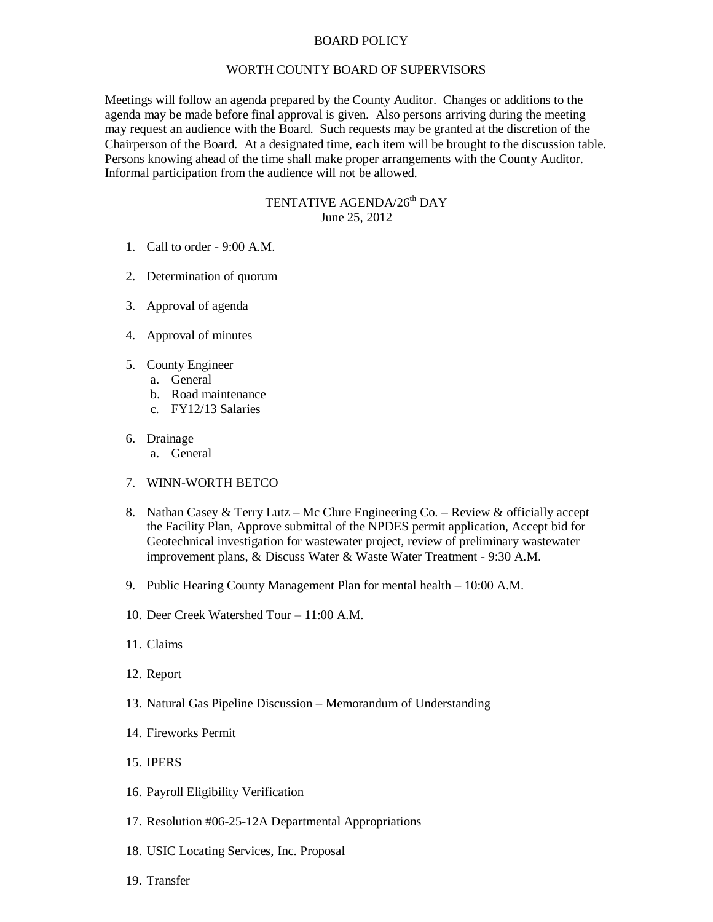## BOARD POLICY

## WORTH COUNTY BOARD OF SUPERVISORS

Meetings will follow an agenda prepared by the County Auditor. Changes or additions to the agenda may be made before final approval is given. Also persons arriving during the meeting may request an audience with the Board. Such requests may be granted at the discretion of the Chairperson of the Board. At a designated time, each item will be brought to the discussion table. Persons knowing ahead of the time shall make proper arrangements with the County Auditor. Informal participation from the audience will not be allowed.

## TENTATIVE AGENDA/26<sup>th</sup> DAY June 25, 2012

- 1. Call to order 9:00 A.M.
- 2. Determination of quorum
- 3. Approval of agenda
- 4. Approval of minutes
- 5. County Engineer
	- a. General
	- b. Road maintenance
	- c. FY12/13 Salaries
- 6. Drainage
	- a. General
- 7. WINN-WORTH BETCO
- 8. Nathan Casey & Terry Lutz Mc Clure Engineering Co. Review & officially accept the Facility Plan, Approve submittal of the NPDES permit application, Accept bid for Geotechnical investigation for wastewater project, review of preliminary wastewater improvement plans, & Discuss Water & Waste Water Treatment - 9:30 A.M.
- 9. Public Hearing County Management Plan for mental health 10:00 A.M.
- 10. Deer Creek Watershed Tour 11:00 A.M.
- 11. Claims
- 12. Report
- 13. Natural Gas Pipeline Discussion Memorandum of Understanding
- 14. Fireworks Permit
- 15. IPERS
- 16. Payroll Eligibility Verification
- 17. Resolution #06-25-12A Departmental Appropriations
- 18. USIC Locating Services, Inc. Proposal
- 19. Transfer